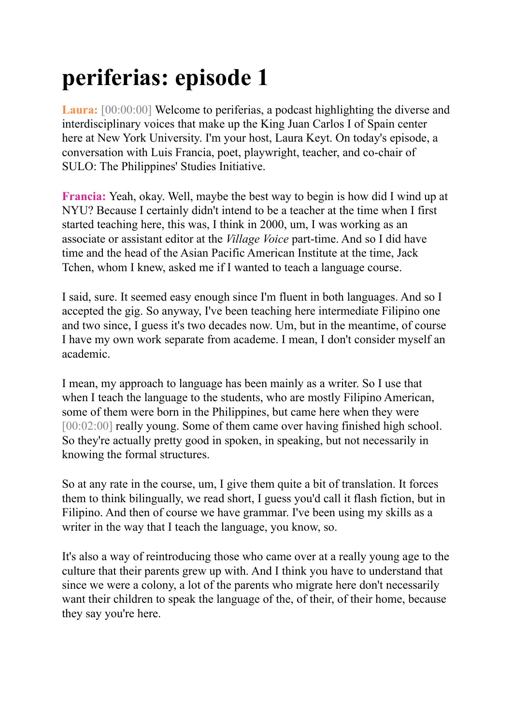## **periferias: episode 1**

**Laura:** [00:00:00] Welcome to periferias, a podcast highlighting the diverse and interdisciplinary voices that make up the King Juan Carlos I of Spain center here at New York University. I'm your host, Laura Keyt. On today's episode, a conversation with Luis Francia, poet, playwright, teacher, and co-chair of SULO: The Philippines' Studies Initiative.

**Francia:** Yeah, okay. Well, maybe the best way to begin is how did I wind up at NYU? Because I certainly didn't intend to be a teacher at the time when I first started teaching here, this was, I think in 2000, um, I was working as an associate or assistant editor at the *Village Voice* part-time. And so I did have time and the head of the Asian Pacific American Institute at the time, Jack Tchen, whom I knew, asked me if I wanted to teach a language course.

I said, sure. It seemed easy enough since I'm fluent in both languages. And so I accepted the gig. So anyway, I've been teaching here intermediate Filipino one and two since, I guess it's two decades now. Um, but in the meantime, of course I have my own work separate from academe. I mean, I don't consider myself an academic.

I mean, my approach to language has been mainly as a writer. So I use that when I teach the language to the students, who are mostly Filipino American, some of them were born in the Philippines, but came here when they were [00:02:00] really young. Some of them came over having finished high school. So they're actually pretty good in spoken, in speaking, but not necessarily in knowing the formal structures.

So at any rate in the course, um, I give them quite a bit of translation. It forces them to think bilingually, we read short, I guess you'd call it flash fiction, but in Filipino. And then of course we have grammar. I've been using my skills as a writer in the way that I teach the language, you know, so.

It's also a way of reintroducing those who came over at a really young age to the culture that their parents grew up with. And I think you have to understand that since we were a colony, a lot of the parents who migrate here don't necessarily want their children to speak the language of the, of their, of their home, because they say you're here.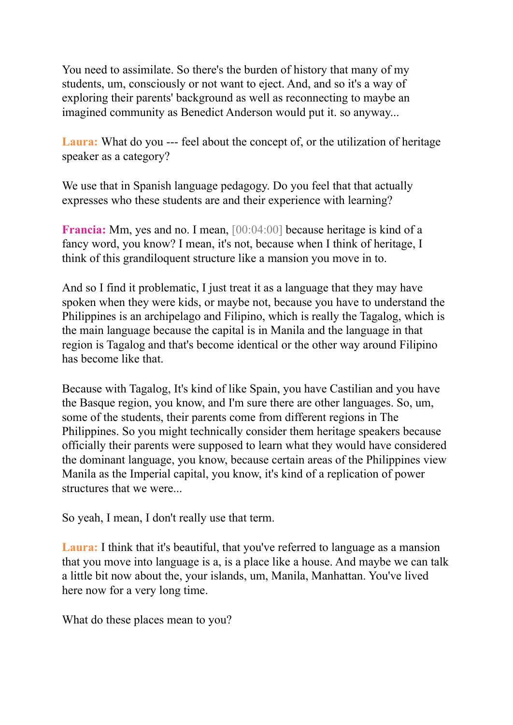You need to assimilate. So there's the burden of history that many of my students, um, consciously or not want to eject. And, and so it's a way of exploring their parents' background as well as reconnecting to maybe an imagined community as Benedict Anderson would put it. so anyway...

**Laura:** What do you --- feel about the concept of, or the utilization of heritage speaker as a category?

We use that in Spanish language pedagogy. Do you feel that that actually expresses who these students are and their experience with learning?

**Francia:** Mm, yes and no. I mean, [00:04:00] because heritage is kind of a fancy word, you know? I mean, it's not, because when I think of heritage, I think of this grandiloquent structure like a mansion you move in to.

And so I find it problematic, I just treat it as a language that they may have spoken when they were kids, or maybe not, because you have to understand the Philippines is an archipelago and Filipino, which is really the Tagalog, which is the main language because the capital is in Manila and the language in that region is Tagalog and that's become identical or the other way around Filipino has become like that.

Because with Tagalog, It's kind of like Spain, you have Castilian and you have the Basque region, you know, and I'm sure there are other languages. So, um, some of the students, their parents come from different regions in The Philippines. So you might technically consider them heritage speakers because officially their parents were supposed to learn what they would have considered the dominant language, you know, because certain areas of the Philippines view Manila as the Imperial capital, you know, it's kind of a replication of power structures that we were...

So yeah, I mean, I don't really use that term.

**Laura:** I think that it's beautiful, that you've referred to language as a mansion that you move into language is a, is a place like a house. And maybe we can talk a little bit now about the, your islands, um, Manila, Manhattan. You've lived here now for a very long time.

What do these places mean to you?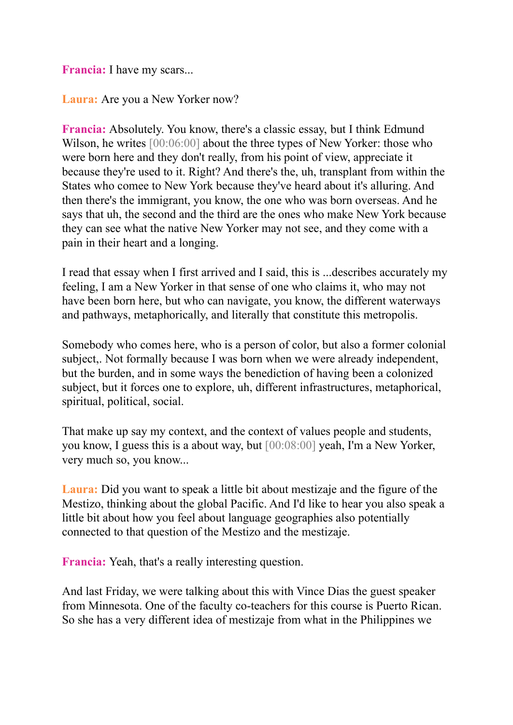**Francia:** I have my scars...

**Laura:** Are you a New Yorker now?

**Francia:** Absolutely. You know, there's a classic essay, but I think Edmund Wilson, he writes [00:06:00] about the three types of New Yorker: those who were born here and they don't really, from his point of view, appreciate it because they're used to it. Right? And there's the, uh, transplant from within the States who comee to New York because they've heard about it's alluring. And then there's the immigrant, you know, the one who was born overseas. And he says that uh, the second and the third are the ones who make New York because they can see what the native New Yorker may not see, and they come with a pain in their heart and a longing.

I read that essay when I first arrived and I said, this is ...describes accurately my feeling, I am a New Yorker in that sense of one who claims it, who may not have been born here, but who can navigate, you know, the different waterways and pathways, metaphorically, and literally that constitute this metropolis.

Somebody who comes here, who is a person of color, but also a former colonial subject,. Not formally because I was born when we were already independent, but the burden, and in some ways the benediction of having been a colonized subject, but it forces one to explore, uh, different infrastructures, metaphorical, spiritual, political, social.

That make up say my context, and the context of values people and students, you know, I guess this is a about way, but [00:08:00] yeah, I'm a New Yorker, very much so, you know...

**Laura:** Did you want to speak a little bit about mestizaje and the figure of the Mestizo, thinking about the global Pacific. And I'd like to hear you also speak a little bit about how you feel about language geographies also potentially connected to that question of the Mestizo and the mestizaje.

**Francia:** Yeah, that's a really interesting question.

And last Friday, we were talking about this with Vince Dias the guest speaker from Minnesota. One of the faculty co-teachers for this course is Puerto Rican. So she has a very different idea of mestizaje from what in the Philippines we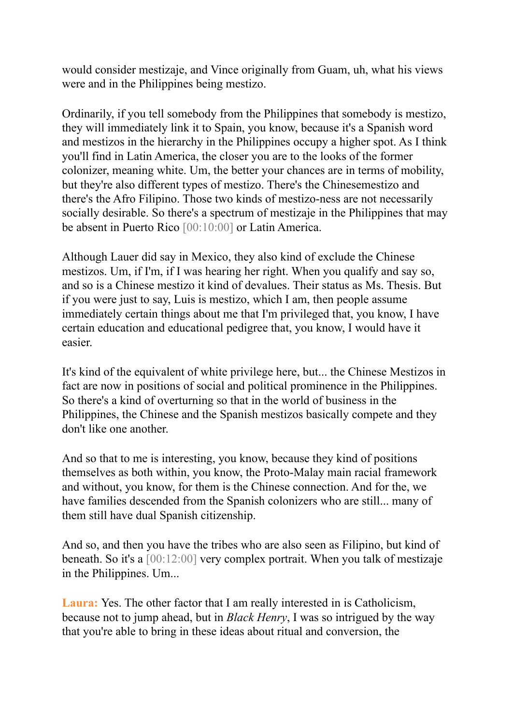would consider mestizaje, and Vince originally from Guam, uh, what his views were and in the Philippines being mestizo.

Ordinarily, if you tell somebody from the Philippines that somebody is mestizo, they will immediately link it to Spain, you know, because it's a Spanish word and mestizos in the hierarchy in the Philippines occupy a higher spot. As I think you'll find in Latin America, the closer you are to the looks of the former colonizer, meaning white. Um, the better your chances are in terms of mobility, but they're also different types of mestizo. There's the Chinesemestizo and there's the Afro Filipino. Those two kinds of mestizo-ness are not necessarily socially desirable. So there's a spectrum of mestizaje in the Philippines that may be absent in Puerto Rico [00:10:00] or Latin America.

Although Lauer did say in Mexico, they also kind of exclude the Chinese mestizos. Um, if I'm, if I was hearing her right. When you qualify and say so, and so is a Chinese mestizo it kind of devalues. Their status as Ms. Thesis. But if you were just to say, Luis is mestizo, which I am, then people assume immediately certain things about me that I'm privileged that, you know, I have certain education and educational pedigree that, you know, I would have it easier.

It's kind of the equivalent of white privilege here, but... the Chinese Mestizos in fact are now in positions of social and political prominence in the Philippines. So there's a kind of overturning so that in the world of business in the Philippines, the Chinese and the Spanish mestizos basically compete and they don't like one another.

And so that to me is interesting, you know, because they kind of positions themselves as both within, you know, the Proto-Malay main racial framework and without, you know, for them is the Chinese connection. And for the, we have families descended from the Spanish colonizers who are still... many of them still have dual Spanish citizenship.

And so, and then you have the tribes who are also seen as Filipino, but kind of beneath. So it's a [00:12:00] very complex portrait. When you talk of mestizaje in the Philippines. Um...

**Laura:** Yes. The other factor that I am really interested in is Catholicism, because not to jump ahead, but in *Black Henry*, I was so intrigued by the way that you're able to bring in these ideas about ritual and conversion, the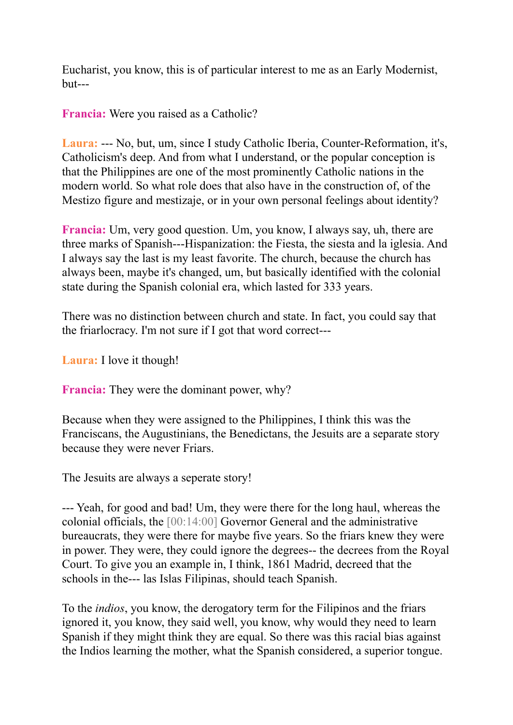Eucharist, you know, this is of particular interest to me as an Early Modernist, but---

**Francia:** Were you raised as a Catholic?

**Laura:** --- No, but, um, since I study Catholic Iberia, Counter-Reformation, it's, Catholicism's deep. And from what I understand, or the popular conception is that the Philippines are one of the most prominently Catholic nations in the modern world. So what role does that also have in the construction of, of the Mestizo figure and mestizaje, or in your own personal feelings about identity?

**Francia:** Um, very good question. Um, you know, I always say, uh, there are three marks of Spanish---Hispanization: the Fiesta, the siesta and la iglesia. And I always say the last is my least favorite. The church, because the church has always been, maybe it's changed, um, but basically identified with the colonial state during the Spanish colonial era, which lasted for 333 years.

There was no distinction between church and state. In fact, you could say that the friarlocracy. I'm not sure if I got that word correct---

**Laura:** I love it though!

**Francia:** They were the dominant power, why?

Because when they were assigned to the Philippines, I think this was the Franciscans, the Augustinians, the Benedictans, the Jesuits are a separate story because they were never Friars.

The Jesuits are always a seperate story!

--- Yeah, for good and bad! Um, they were there for the long haul, whereas the colonial officials, the [00:14:00] Governor General and the administrative bureaucrats, they were there for maybe five years. So the friars knew they were in power. They were, they could ignore the degrees-- the decrees from the Royal Court. To give you an example in, I think, 1861 Madrid, decreed that the schools in the--- las Islas Filipinas, should teach Spanish.

To the *indios*, you know, the derogatory term for the Filipinos and the friars ignored it, you know, they said well, you know, why would they need to learn Spanish if they might think they are equal. So there was this racial bias against the Indios learning the mother, what the Spanish considered, a superior tongue.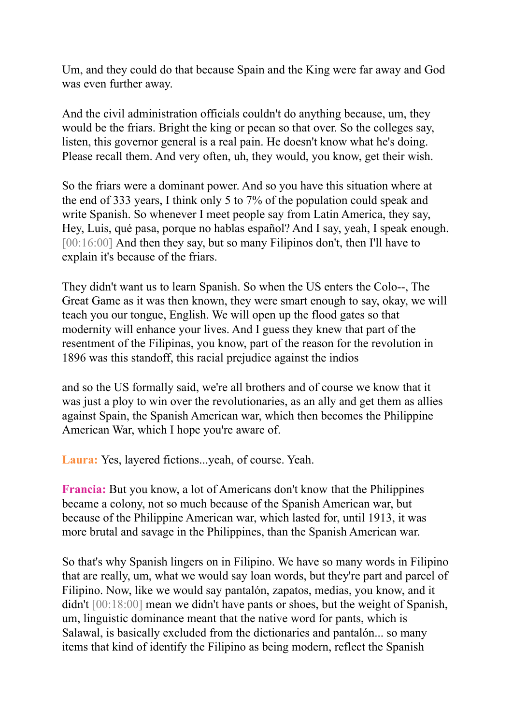Um, and they could do that because Spain and the King were far away and God was even further away.

And the civil administration officials couldn't do anything because, um, they would be the friars. Bright the king or pecan so that over. So the colleges say, listen, this governor general is a real pain. He doesn't know what he's doing. Please recall them. And very often, uh, they would, you know, get their wish.

So the friars were a dominant power. And so you have this situation where at the end of 333 years, I think only 5 to 7% of the population could speak and write Spanish. So whenever I meet people say from Latin America, they say, Hey, Luis, qué pasa, porque no hablas español? And I say, yeah, I speak enough. [00:16:00] And then they say, but so many Filipinos don't, then I'll have to explain it's because of the friars.

They didn't want us to learn Spanish. So when the US enters the Colo--, The Great Game as it was then known, they were smart enough to say, okay, we will teach you our tongue, English. We will open up the flood gates so that modernity will enhance your lives. And I guess they knew that part of the resentment of the Filipinas, you know, part of the reason for the revolution in 1896 was this standoff, this racial prejudice against the indios

and so the US formally said, we're all brothers and of course we know that it was just a ploy to win over the revolutionaries, as an ally and get them as allies against Spain, the Spanish American war, which then becomes the Philippine American War, which I hope you're aware of.

**Laura:** Yes, layered fictions...yeah, of course. Yeah.

**Francia:** But you know, a lot of Americans don't know that the Philippines became a colony, not so much because of the Spanish American war, but because of the Philippine American war, which lasted for, until 1913, it was more brutal and savage in the Philippines, than the Spanish American war.

So that's why Spanish lingers on in Filipino. We have so many words in Filipino that are really, um, what we would say loan words, but they're part and parcel of Filipino. Now, like we would say pantalón, zapatos, medias, you know, and it didn't [00:18:00] mean we didn't have pants or shoes, but the weight of Spanish, um, linguistic dominance meant that the native word for pants, which is Salawal, is basically excluded from the dictionaries and pantalón... so many items that kind of identify the Filipino as being modern, reflect the Spanish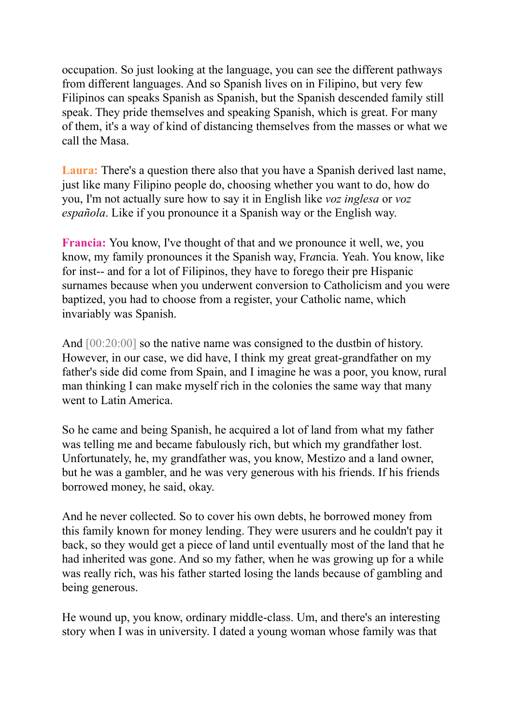occupation. So just looking at the language, you can see the different pathways from different languages. And so Spanish lives on in Filipino, but very few Filipinos can speaks Spanish as Spanish, but the Spanish descended family still speak. They pride themselves and speaking Spanish, which is great. For many of them, it's a way of kind of distancing themselves from the masses or what we call the Masa.

**Laura:** There's a question there also that you have a Spanish derived last name, just like many Filipino people do, choosing whether you want to do, how do you, I'm not actually sure how to say it in English like *voz inglesa* or *voz española*. Like if you pronounce it a Spanish way or the English way.

**Francia:** You know, I've thought of that and we pronounce it well, we, you know, my family pronounces it the Spanish way, Fr*a*ncia. Yeah. You know, like for inst-- and for a lot of Filipinos, they have to forego their pre Hispanic surnames because when you underwent conversion to Catholicism and you were baptized, you had to choose from a register, your Catholic name, which invariably was Spanish.

And  $[00:20:00]$  so the native name was consigned to the dustbin of history. However, in our case, we did have, I think my great great-grandfather on my father's side did come from Spain, and I imagine he was a poor, you know, rural man thinking I can make myself rich in the colonies the same way that many went to Latin America.

So he came and being Spanish, he acquired a lot of land from what my father was telling me and became fabulously rich, but which my grandfather lost. Unfortunately, he, my grandfather was, you know, Mestizo and a land owner, but he was a gambler, and he was very generous with his friends. If his friends borrowed money, he said, okay.

And he never collected. So to cover his own debts, he borrowed money from this family known for money lending. They were usurers and he couldn't pay it back, so they would get a piece of land until eventually most of the land that he had inherited was gone. And so my father, when he was growing up for a while was really rich, was his father started losing the lands because of gambling and being generous.

He wound up, you know, ordinary middle-class. Um, and there's an interesting story when I was in university. I dated a young woman whose family was that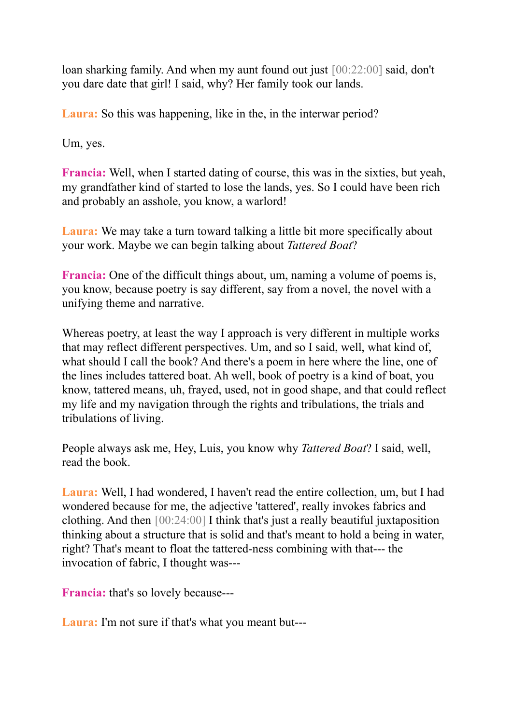loan sharking family. And when my aunt found out just [00:22:00] said, don't you dare date that girl! I said, why? Her family took our lands.

Laura: So this was happening, like in the, in the interwar period?

Um, yes.

**Francia:** Well, when I started dating of course, this was in the sixties, but yeah, my grandfather kind of started to lose the lands, yes. So I could have been rich and probably an asshole, you know, a warlord!

**Laura:** We may take a turn toward talking a little bit more specifically about your work. Maybe we can begin talking about *Tattered Boat*?

**Francia:** One of the difficult things about, um, naming a volume of poems is, you know, because poetry is say different, say from a novel, the novel with a unifying theme and narrative.

Whereas poetry, at least the way I approach is very different in multiple works that may reflect different perspectives. Um, and so I said, well, what kind of, what should I call the book? And there's a poem in here where the line, one of the lines includes tattered boat. Ah well, book of poetry is a kind of boat, you know, tattered means, uh, frayed, used, not in good shape, and that could reflect my life and my navigation through the rights and tribulations, the trials and tribulations of living.

People always ask me, Hey, Luis, you know why *Tattered Boat*? I said, well, read the book.

**Laura:** Well, I had wondered, I haven't read the entire collection, um, but I had wondered because for me, the adjective 'tattered', really invokes fabrics and clothing. And then [00:24:00] I think that's just a really beautiful juxtaposition thinking about a structure that is solid and that's meant to hold a being in water, right? That's meant to float the tattered-ness combining with that--- the invocation of fabric, I thought was---

**Francia:** that's so lovely because---

**Laura:** I'm not sure if that's what you meant but---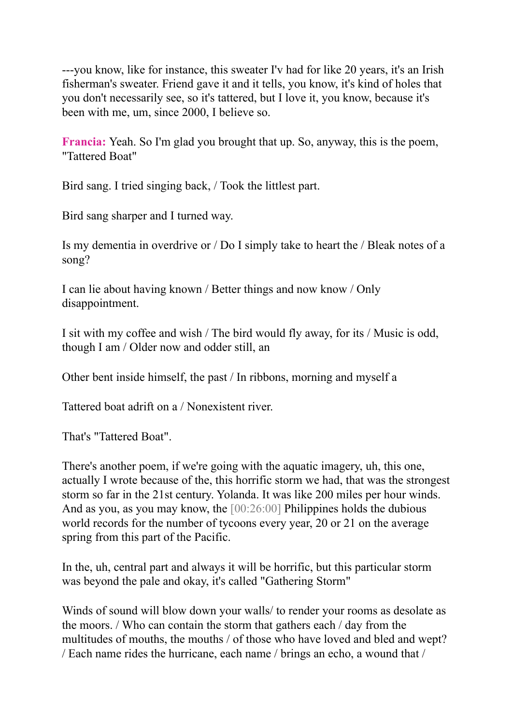---you know, like for instance, this sweater I'v had for like 20 years, it's an Irish fisherman's sweater. Friend gave it and it tells, you know, it's kind of holes that you don't necessarily see, so it's tattered, but I love it, you know, because it's been with me, um, since 2000, I believe so.

**Francia:** Yeah. So I'm glad you brought that up. So, anyway, this is the poem, "Tattered Boat"

Bird sang. I tried singing back, / Took the littlest part.

Bird sang sharper and I turned way.

Is my dementia in overdrive or / Do I simply take to heart the / Bleak notes of a song?

I can lie about having known / Better things and now know / Only disappointment.

I sit with my coffee and wish / The bird would fly away, for its / Music is odd, though I am / Older now and odder still, an

Other bent inside himself, the past / In ribbons, morning and myself a

Tattered boat adrift on a / Nonexistent river.

That's "Tattered Boat".

There's another poem, if we're going with the aquatic imagery, uh, this one, actually I wrote because of the, this horrific storm we had, that was the strongest storm so far in the 21st century. Yolanda. It was like 200 miles per hour winds. And as you, as you may know, the [00:26:00] Philippines holds the dubious world records for the number of tycoons every year, 20 or 21 on the average spring from this part of the Pacific.

In the, uh, central part and always it will be horrific, but this particular storm was beyond the pale and okay, it's called "Gathering Storm"

Winds of sound will blow down your walls/ to render your rooms as desolate as the moors. / Who can contain the storm that gathers each / day from the multitudes of mouths, the mouths / of those who have loved and bled and wept? / Each name rides the hurricane, each name / brings an echo, a wound that /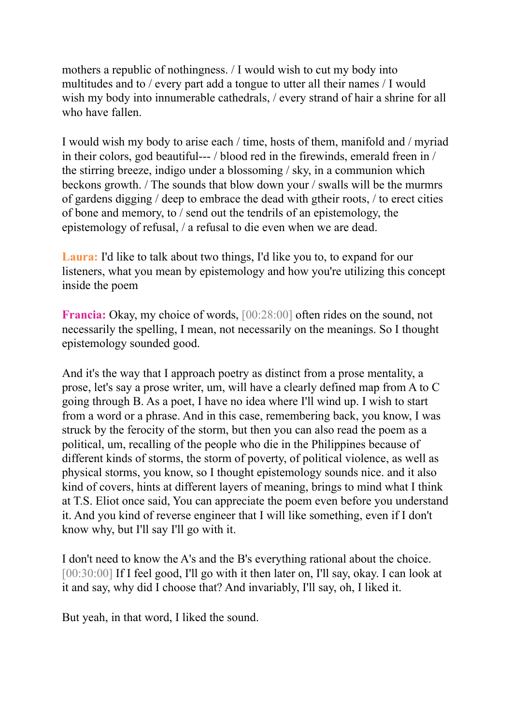mothers a republic of nothingness. / I would wish to cut my body into multitudes and to / every part add a tongue to utter all their names / I would wish my body into innumerable cathedrals, / every strand of hair a shrine for all who have fallen.

I would wish my body to arise each / time, hosts of them, manifold and / myriad in their colors, god beautiful--- / blood red in the firewinds, emerald freen in / the stirring breeze, indigo under a blossoming / sky, in a communion which beckons growth. / The sounds that blow down your / swalls will be the murmrs of gardens digging / deep to embrace the dead with gtheir roots, / to erect cities of bone and memory, to / send out the tendrils of an epistemology, the epistemology of refusal, / a refusal to die even when we are dead.

**Laura:** I'd like to talk about two things, I'd like you to, to expand for our listeners, what you mean by epistemology and how you're utilizing this concept inside the poem

**Francia:** Okay, my choice of words, [00:28:00] often rides on the sound, not necessarily the spelling, I mean, not necessarily on the meanings. So I thought epistemology sounded good.

And it's the way that I approach poetry as distinct from a prose mentality, a prose, let's say a prose writer, um, will have a clearly defined map from A to C going through B. As a poet, I have no idea where I'll wind up. I wish to start from a word or a phrase. And in this case, remembering back, you know, I was struck by the ferocity of the storm, but then you can also read the poem as a political, um, recalling of the people who die in the Philippines because of different kinds of storms, the storm of poverty, of political violence, as well as physical storms, you know, so I thought epistemology sounds nice. and it also kind of covers, hints at different layers of meaning, brings to mind what I think at T.S. Eliot once said, You can appreciate the poem even before you understand it. And you kind of reverse engineer that I will like something, even if I don't know why, but I'll say I'll go with it.

I don't need to know the A's and the B's everything rational about the choice. [00:30:00] If I feel good, I'll go with it then later on, I'll say, okay. I can look at it and say, why did I choose that? And invariably, I'll say, oh, I liked it.

But yeah, in that word, I liked the sound.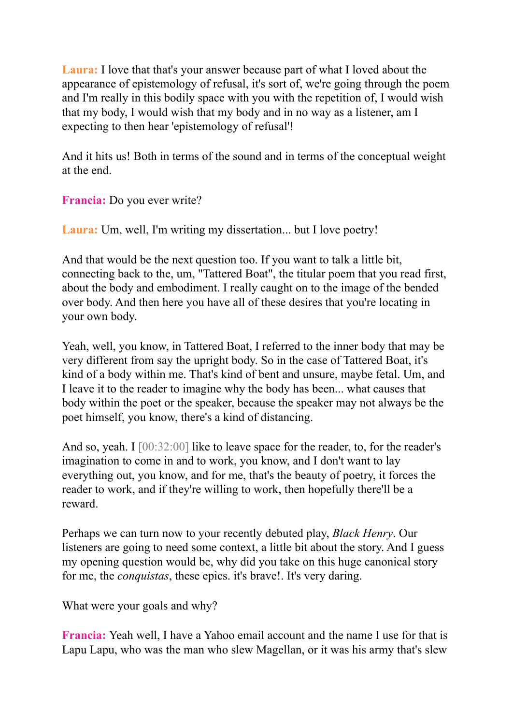**Laura:** I love that that's your answer because part of what I loved about the appearance of epistemology of refusal, it's sort of, we're going through the poem and I'm really in this bodily space with you with the repetition of, I would wish that my body, I would wish that my body and in no way as a listener, am I expecting to then hear 'epistemology of refusal'!

And it hits us! Both in terms of the sound and in terms of the conceptual weight at the end.

**Francia:** Do you ever write?

**Laura:** Um, well, I'm writing my dissertation... but I love poetry!

And that would be the next question too. If you want to talk a little bit, connecting back to the, um, "Tattered Boat", the titular poem that you read first, about the body and embodiment. I really caught on to the image of the bended over body. And then here you have all of these desires that you're locating in your own body.

Yeah, well, you know, in Tattered Boat, I referred to the inner body that may be very different from say the upright body. So in the case of Tattered Boat, it's kind of a body within me. That's kind of bent and unsure, maybe fetal. Um, and I leave it to the reader to imagine why the body has been... what causes that body within the poet or the speaker, because the speaker may not always be the poet himself, you know, there's a kind of distancing.

And so, yeah. I [00:32:00] like to leave space for the reader, to, for the reader's imagination to come in and to work, you know, and I don't want to lay everything out, you know, and for me, that's the beauty of poetry, it forces the reader to work, and if they're willing to work, then hopefully there'll be a reward.

Perhaps we can turn now to your recently debuted play, *Black Henry*. Our listeners are going to need some context, a little bit about the story. And I guess my opening question would be, why did you take on this huge canonical story for me, the *conquistas*, these epics. it's brave!. It's very daring.

What were your goals and why?

**Francia:** Yeah well, I have a Yahoo email account and the name I use for that is Lapu Lapu, who was the man who slew Magellan, or it was his army that's slew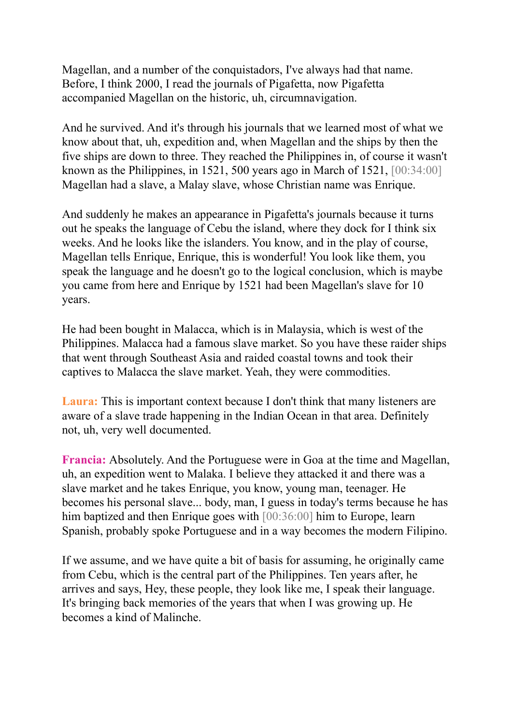Magellan, and a number of the conquistadors, I've always had that name. Before, I think 2000, I read the journals of Pigafetta, now Pigafetta accompanied Magellan on the historic, uh, circumnavigation.

And he survived. And it's through his journals that we learned most of what we know about that, uh, expedition and, when Magellan and the ships by then the five ships are down to three. They reached the Philippines in, of course it wasn't known as the Philippines, in 1521, 500 years ago in March of 1521, [00:34:00] Magellan had a slave, a Malay slave, whose Christian name was Enrique.

And suddenly he makes an appearance in Pigafetta's journals because it turns out he speaks the language of Cebu the island, where they dock for I think six weeks. And he looks like the islanders. You know, and in the play of course, Magellan tells Enrique, Enrique, this is wonderful! You look like them, you speak the language and he doesn't go to the logical conclusion, which is maybe you came from here and Enrique by 1521 had been Magellan's slave for 10 years.

He had been bought in Malacca, which is in Malaysia, which is west of the Philippines. Malacca had a famous slave market. So you have these raider ships that went through Southeast Asia and raided coastal towns and took their captives to Malacca the slave market. Yeah, they were commodities.

**Laura:** This is important context because I don't think that many listeners are aware of a slave trade happening in the Indian Ocean in that area. Definitely not, uh, very well documented.

**Francia:** Absolutely. And the Portuguese were in Goa at the time and Magellan, uh, an expedition went to Malaka. I believe they attacked it and there was a slave market and he takes Enrique, you know, young man, teenager. He becomes his personal slave... body, man, I guess in today's terms because he has him baptized and then Enrique goes with [00:36:00] him to Europe, learn Spanish, probably spoke Portuguese and in a way becomes the modern Filipino.

If we assume, and we have quite a bit of basis for assuming, he originally came from Cebu, which is the central part of the Philippines. Ten years after, he arrives and says, Hey, these people, they look like me, I speak their language. It's bringing back memories of the years that when I was growing up. He becomes a kind of Malinche.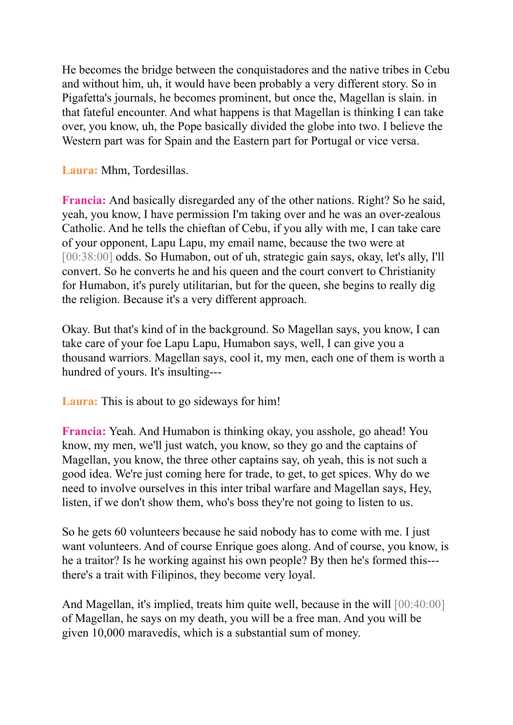He becomes the bridge between the conquistadores and the native tribes in Cebu and without him, uh, it would have been probably a very different story. So in Pigafetta's journals, he becomes prominent, but once the, Magellan is slain. in that fateful encounter. And what happens is that Magellan is thinking I can take over, you know, uh, the Pope basically divided the globe into two. I believe the Western part was for Spain and the Eastern part for Portugal or vice versa.

**Laura:** Mhm, Tordesillas.

**Francia:** And basically disregarded any of the other nations. Right? So he said, yeah, you know, I have permission I'm taking over and he was an over-zealous Catholic. And he tells the chieftan of Cebu, if you ally with me, I can take care of your opponent, Lapu Lapu, my email name, because the two were at [00:38:00] odds. So Humabon, out of uh, strategic gain says, okay, let's ally, I'll convert. So he converts he and his queen and the court convert to Christianity for Humabon, it's purely utilitarian, but for the queen, she begins to really dig the religion. Because it's a very different approach.

Okay. But that's kind of in the background. So Magellan says, you know, I can take care of your foe Lapu Lapu, Humabon says, well, I can give you a thousand warriors. Magellan says, cool it, my men, each one of them is worth a hundred of yours. It's insulting---

**Laura:** This is about to go sideways for him!

**Francia:** Yeah. And Humabon is thinking okay, you asshole, go ahead! You know, my men, we'll just watch, you know, so they go and the captains of Magellan, you know, the three other captains say, oh yeah, this is not such a good idea. We're just coming here for trade, to get, to get spices. Why do we need to involve ourselves in this inter tribal warfare and Magellan says, Hey, listen, if we don't show them, who's boss they're not going to listen to us.

So he gets 60 volunteers because he said nobody has to come with me. I just want volunteers. And of course Enrique goes along. And of course, you know, is he a traitor? Is he working against his own people? By then he's formed this-- there's a trait with Filipinos, they become very loyal.

And Magellan, it's implied, treats him quite well, because in the will [00:40:00] of Magellan, he says on my death, you will be a free man. And you will be given 10,000 maravedís, which is a substantial sum of money.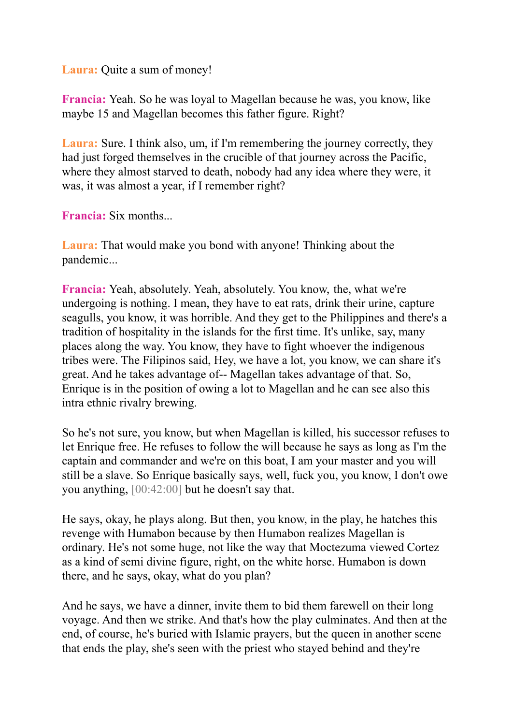**Laura:** Quite a sum of money!

**Francia:** Yeah. So he was loyal to Magellan because he was, you know, like maybe 15 and Magellan becomes this father figure. Right?

**Laura:** Sure. I think also, um, if I'm remembering the journey correctly, they had just forged themselves in the crucible of that journey across the Pacific, where they almost starved to death, nobody had any idea where they were, it was, it was almost a year, if I remember right?

**Francia:** Six months...

**Laura:** That would make you bond with anyone! Thinking about the pandemic...

**Francia:** Yeah, absolutely. Yeah, absolutely. You know, the, what we're undergoing is nothing. I mean, they have to eat rats, drink their urine, capture seagulls, you know, it was horrible. And they get to the Philippines and there's a tradition of hospitality in the islands for the first time. It's unlike, say, many places along the way. You know, they have to fight whoever the indigenous tribes were. The Filipinos said, Hey, we have a lot, you know, we can share it's great. And he takes advantage of-- Magellan takes advantage of that. So, Enrique is in the position of owing a lot to Magellan and he can see also this intra ethnic rivalry brewing.

So he's not sure, you know, but when Magellan is killed, his successor refuses to let Enrique free. He refuses to follow the will because he says as long as I'm the captain and commander and we're on this boat, I am your master and you will still be a slave. So Enrique basically says, well, fuck you, you know, I don't owe you anything, [00:42:00] but he doesn't say that.

He says, okay, he plays along. But then, you know, in the play, he hatches this revenge with Humabon because by then Humabon realizes Magellan is ordinary. He's not some huge, not like the way that Moctezuma viewed Cortez as a kind of semi divine figure, right, on the white horse. Humabon is down there, and he says, okay, what do you plan?

And he says, we have a dinner, invite them to bid them farewell on their long voyage. And then we strike. And that's how the play culminates. And then at the end, of course, he's buried with Islamic prayers, but the queen in another scene that ends the play, she's seen with the priest who stayed behind and they're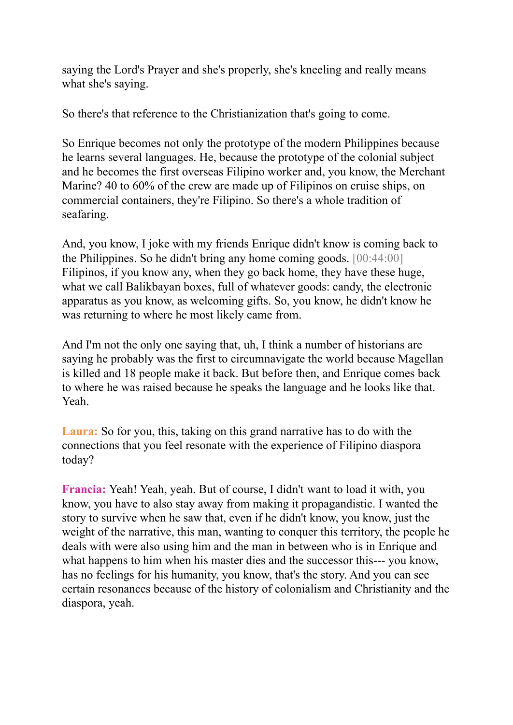saying the Lord's Prayer and she's properly, she's kneeling and really means what she's saying.

So there's that reference to the Christianization that's going to come.

So Enrique becomes not only the prototype of the modern Philippines because he learns several languages. He, because the prototype of the colonial subject and he becomes the first overseas Filipino worker and, you know, the Merchant Marine? 40 to 60% of the crew are made up of Filipinos on cruise ships, on commercial containers, they're Filipino. So there's a whole tradition of seafaring.

And, you know, I joke with my friends Enrique didn't know is coming back to the Philippines. So he didn't bring any home coming goods. [00:44:00] Filipinos, if you know any, when they go back home, they have these huge, what we call Balikbayan boxes, full of whatever goods: candy, the electronic apparatus as you know, as welcoming gifts. So, you know, he didn't know he was returning to where he most likely came from.

And I'm not the only one saying that, uh, I think a number of historians are saying he probably was the first to circumnavigate the world because Magellan is killed and 18 people make it back. But before then, and Enrique comes back to where he was raised because he speaks the language and he looks like that. Yeah.

**Laura:** So for you, this, taking on this grand narrative has to do with the connections that you feel resonate with the experience of Filipino diaspora today?

**Francia:** Yeah! Yeah, yeah. But of course, I didn't want to load it with, you know, you have to also stay away from making it propagandistic. I wanted the story to survive when he saw that, even if he didn't know, you know, just the weight of the narrative, this man, wanting to conquer this territory, the people he deals with were also using him and the man in between who is in Enrique and what happens to him when his master dies and the successor this--- you know. has no feelings for his humanity, you know, that's the story. And you can see certain resonances because of the history of colonialism and Christianity and the diaspora, yeah.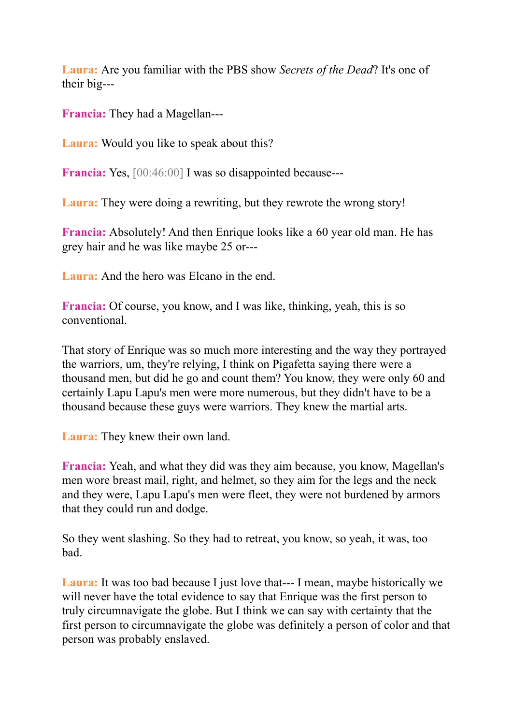**Laura:** Are you familiar with the PBS show *Secrets of the Dead*? It's one of their big---

**Francia:** They had a Magellan---

**Laura:** Would you like to speak about this?

**Francia:** Yes,  $[00:46:00]$  I was so disappointed because---

**Laura:** They were doing a rewriting, but they rewrote the wrong story!

**Francia:** Absolutely! And then Enrique looks like a 60 year old man. He has grey hair and he was like maybe 25 or---

**Laura:** And the hero was Elcano in the end.

**Francia:** Of course, you know, and I was like, thinking, yeah, this is so conventional.

That story of Enrique was so much more interesting and the way they portrayed the warriors, um, they're relying, I think on Pigafetta saying there were a thousand men, but did he go and count them? You know, they were only 60 and certainly Lapu Lapu's men were more numerous, but they didn't have to be a thousand because these guys were warriors. They knew the martial arts.

**Laura:** They knew their own land.

**Francia:** Yeah, and what they did was they aim because, you know, Magellan's men wore breast mail, right, and helmet, so they aim for the legs and the neck and they were, Lapu Lapu's men were fleet, they were not burdened by armors that they could run and dodge.

So they went slashing. So they had to retreat, you know, so yeah, it was, too bad.

**Laura:** It was too bad because I just love that--- I mean, maybe historically we will never have the total evidence to say that Enrique was the first person to truly circumnavigate the globe. But I think we can say with certainty that the first person to circumnavigate the globe was definitely a person of color and that person was probably enslaved.